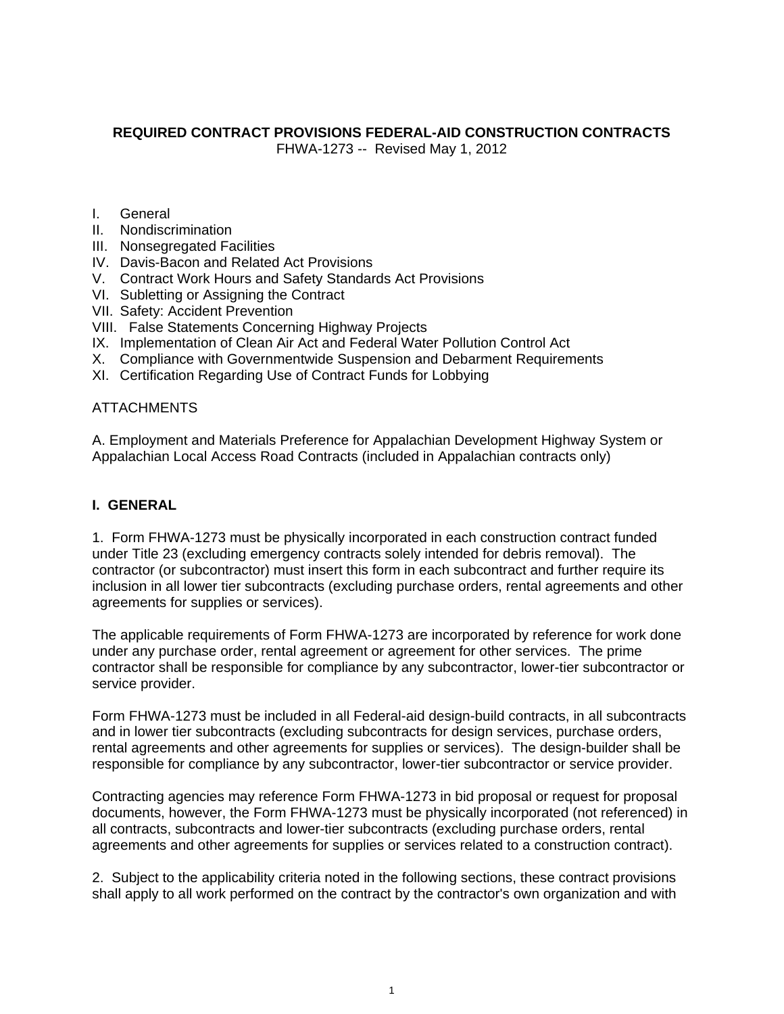# **REQUIRED CONTRACT PROVISIONS FEDERAL-AID CONSTRUCTION CONTRACTS**

FHWA-1273 -- Revised May 1, 2012

- I. General
- II. Nondiscrimination
- III. Nonsegregated Facilities
- IV. Davis-Bacon and Related Act Provisions
- V. Contract Work Hours and Safety Standards Act Provisions
- VI. Subletting or Assigning the Contract
- VII. Safety: Accident Prevention
- VIII. False Statements Concerning Highway Projects
- IX. Implementation of Clean Air Act and Federal Water Pollution Control Act
- X. Compliance with Governmentwide Suspension and Debarment Requirements
- XI. Certification Regarding Use of Contract Funds for Lobbying

## **ATTACHMENTS**

A. Employment and Materials Preference for Appalachian Development Highway System or Appalachian Local Access Road Contracts (included in Appalachian contracts only)

## **I. GENERAL**

1. Form FHWA-1273 must be physically incorporated in each construction contract funded under Title 23 (excluding emergency contracts solely intended for debris removal). The contractor (or subcontractor) must insert this form in each subcontract and further require its inclusion in all lower tier subcontracts (excluding purchase orders, rental agreements and other agreements for supplies or services).

The applicable requirements of Form FHWA-1273 are incorporated by reference for work done under any purchase order, rental agreement or agreement for other services. The prime contractor shall be responsible for compliance by any subcontractor, lower-tier subcontractor or service provider.

Form FHWA-1273 must be included in all Federal-aid design-build contracts, in all subcontracts and in lower tier subcontracts (excluding subcontracts for design services, purchase orders, rental agreements and other agreements for supplies or services). The design-builder shall be responsible for compliance by any subcontractor, lower-tier subcontractor or service provider.

Contracting agencies may reference Form FHWA-1273 in bid proposal or request for proposal documents, however, the Form FHWA-1273 must be physically incorporated (not referenced) in all contracts, subcontracts and lower-tier subcontracts (excluding purchase orders, rental agreements and other agreements for supplies or services related to a construction contract).

2. Subject to the applicability criteria noted in the following sections, these contract provisions shall apply to all work performed on the contract by the contractor's own organization and with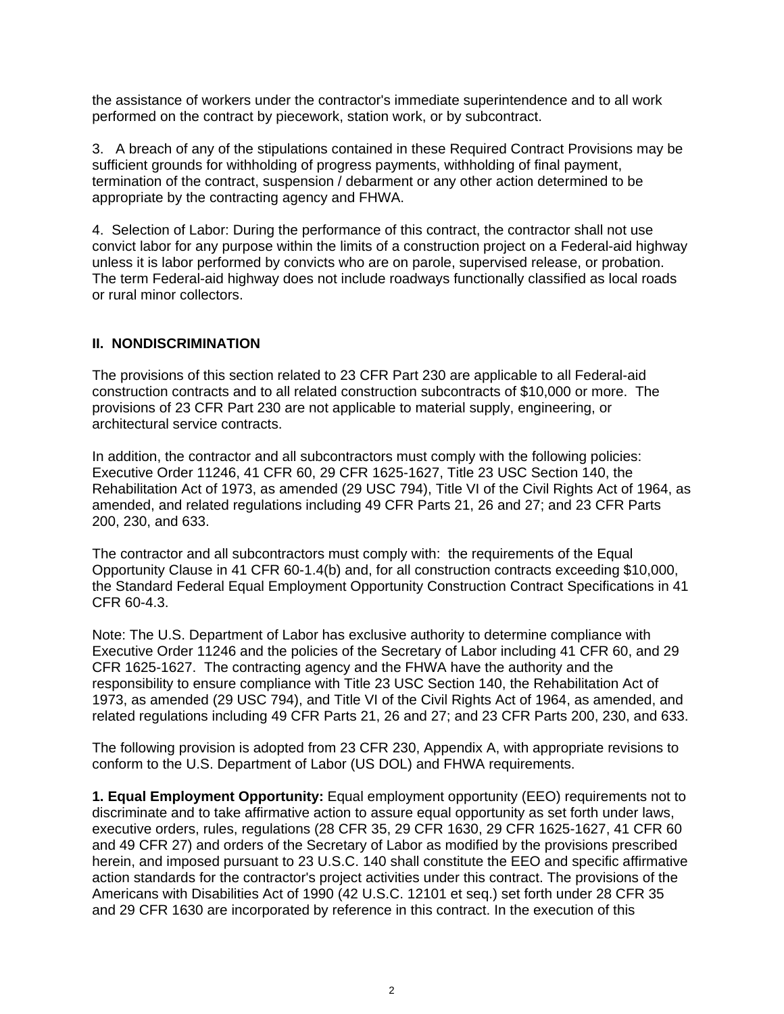the assistance of workers under the contractor's immediate superintendence and to all work performed on the contract by piecework, station work, or by subcontract.

3. A breach of any of the stipulations contained in these Required Contract Provisions may be sufficient grounds for withholding of progress payments, withholding of final payment, termination of the contract, suspension / debarment or any other action determined to be appropriate by the contracting agency and FHWA.

4. Selection of Labor: During the performance of this contract, the contractor shall not use convict labor for any purpose within the limits of a construction project on a Federal-aid highway unless it is labor performed by convicts who are on parole, supervised release, or probation. The term Federal-aid highway does not include roadways functionally classified as local roads or rural minor collectors.

## **II. NONDISCRIMINATION**

The provisions of this section related to 23 CFR Part 230 are applicable to all Federal-aid construction contracts and to all related construction subcontracts of \$10,000 or more. The provisions of 23 CFR Part 230 are not applicable to material supply, engineering, or architectural service contracts.

In addition, the contractor and all subcontractors must comply with the following policies: Executive Order 11246, 41 CFR 60, 29 CFR 1625-1627, Title 23 USC Section 140, the Rehabilitation Act of 1973, as amended (29 USC 794), Title VI of the Civil Rights Act of 1964, as amended, and related regulations including 49 CFR Parts 21, 26 and 27; and 23 CFR Parts 200, 230, and 633.

The contractor and all subcontractors must comply with: the requirements of the Equal Opportunity Clause in 41 CFR 60-1.4(b) and, for all construction contracts exceeding \$10,000, the Standard Federal Equal Employment Opportunity Construction Contract Specifications in 41 CFR 60-4.3.

Note: The U.S. Department of Labor has exclusive authority to determine compliance with Executive Order 11246 and the policies of the Secretary of Labor including 41 CFR 60, and 29 CFR 1625-1627. The contracting agency and the FHWA have the authority and the responsibility to ensure compliance with Title 23 USC Section 140, the Rehabilitation Act of 1973, as amended (29 USC 794), and Title VI of the Civil Rights Act of 1964, as amended, and related regulations including 49 CFR Parts 21, 26 and 27; and 23 CFR Parts 200, 230, and 633.

The following provision is adopted from 23 CFR 230, Appendix A, with appropriate revisions to conform to the U.S. Department of Labor (US DOL) and FHWA requirements.

**1. Equal Employment Opportunity:** Equal employment opportunity (EEO) requirements not to discriminate and to take affirmative action to assure equal opportunity as set forth under laws, executive orders, rules, regulations (28 CFR 35, 29 CFR 1630, 29 CFR 1625-1627, 41 CFR 60 and 49 CFR 27) and orders of the Secretary of Labor as modified by the provisions prescribed herein, and imposed pursuant to 23 U.S.C. 140 shall constitute the EEO and specific affirmative action standards for the contractor's project activities under this contract. The provisions of the Americans with Disabilities Act of 1990 (42 U.S.C. 12101 et seq.) set forth under 28 CFR 35 and 29 CFR 1630 are incorporated by reference in this contract. In the execution of this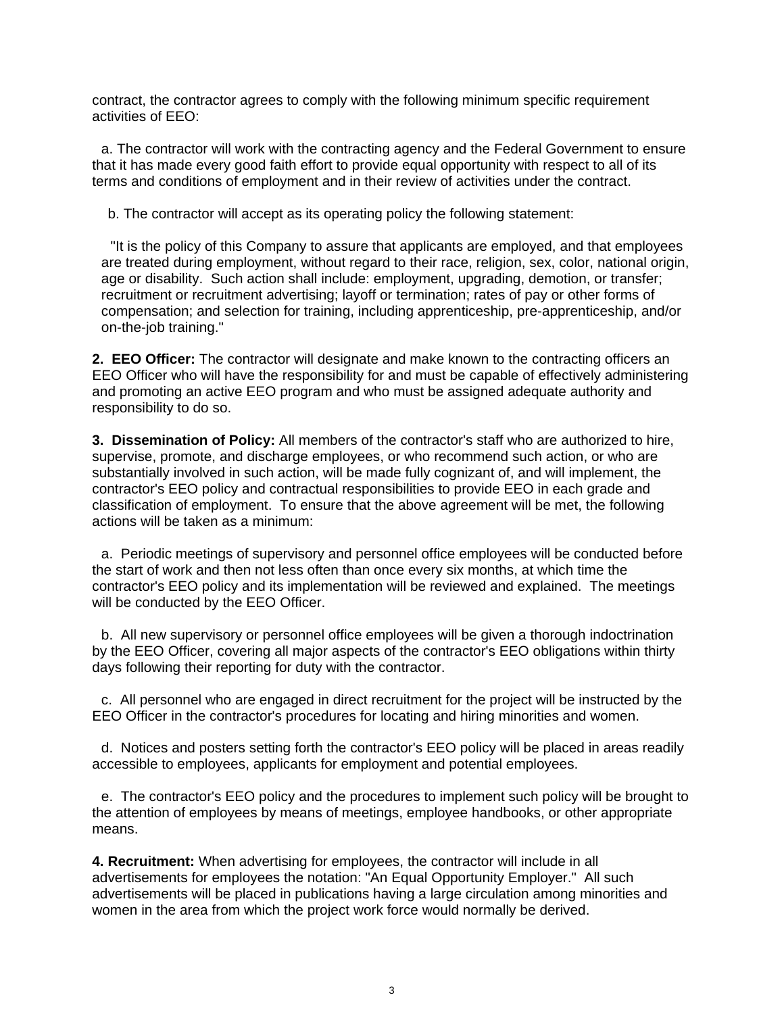contract, the contractor agrees to comply with the following minimum specific requirement activities of EEO:

a. The contractor will work with the contracting agency and the Federal Government to ensure that it has made every good faith effort to provide equal opportunity with respect to all of its terms and conditions of employment and in their review of activities under the contract.

b. The contractor will accept as its operating policy the following statement:

"It is the policy of this Company to assure that applicants are employed, and that employees are treated during employment, without regard to their race, religion, sex, color, national origin, age or disability. Such action shall include: employment, upgrading, demotion, or transfer; recruitment or recruitment advertising; layoff or termination; rates of pay or other forms of compensation; and selection for training, including apprenticeship, pre-apprenticeship, and/or on-the-job training."

**2. EEO Officer:** The contractor will designate and make known to the contracting officers an EEO Officer who will have the responsibility for and must be capable of effectively administering and promoting an active EEO program and who must be assigned adequate authority and responsibility to do so.

**3. Dissemination of Policy:** All members of the contractor's staff who are authorized to hire, supervise, promote, and discharge employees, or who recommend such action, or who are substantially involved in such action, will be made fully cognizant of, and will implement, the contractor's EEO policy and contractual responsibilities to provide EEO in each grade and classification of employment. To ensure that the above agreement will be met, the following actions will be taken as a minimum:

a. Periodic meetings of supervisory and personnel office employees will be conducted before the start of work and then not less often than once every six months, at which time the contractor's EEO policy and its implementation will be reviewed and explained. The meetings will be conducted by the EEO Officer.

b. All new supervisory or personnel office employees will be given a thorough indoctrination by the EEO Officer, covering all major aspects of the contractor's EEO obligations within thirty days following their reporting for duty with the contractor.

c. All personnel who are engaged in direct recruitment for the project will be instructed by the EEO Officer in the contractor's procedures for locating and hiring minorities and women.

d. Notices and posters setting forth the contractor's EEO policy will be placed in areas readily accessible to employees, applicants for employment and potential employees.

e. The contractor's EEO policy and the procedures to implement such policy will be brought to the attention of employees by means of meetings, employee handbooks, or other appropriate means.

**4. Recruitment:** When advertising for employees, the contractor will include in all advertisements for employees the notation: "An Equal Opportunity Employer." All such advertisements will be placed in publications having a large circulation among minorities and women in the area from which the project work force would normally be derived.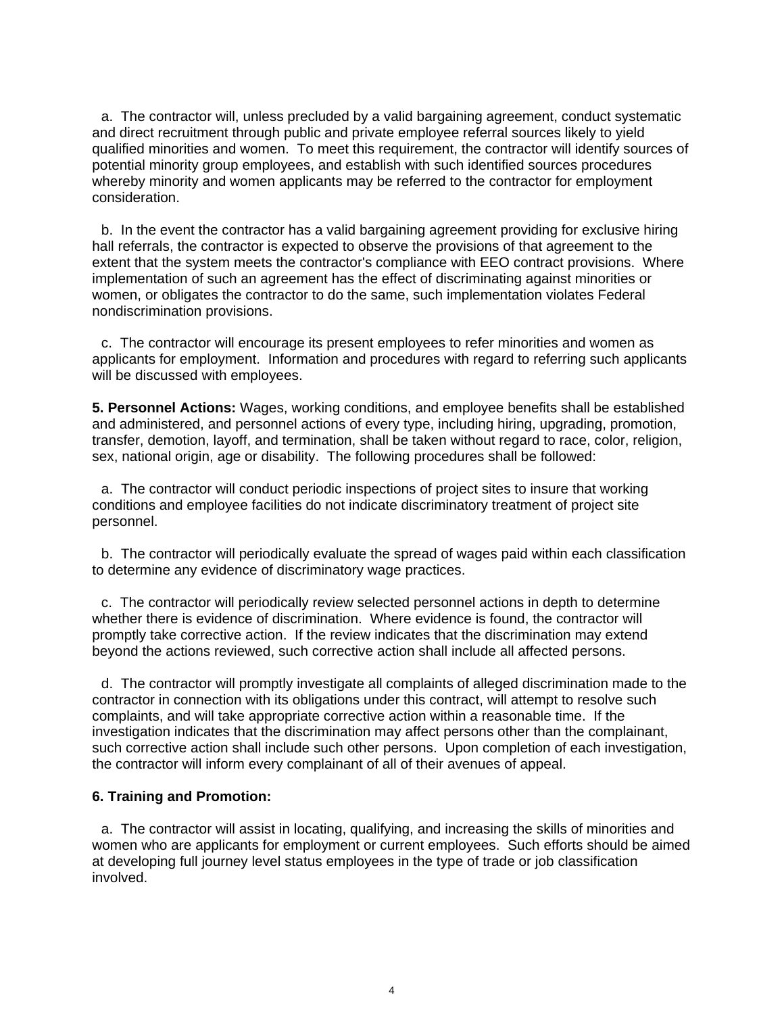a. The contractor will, unless precluded by a valid bargaining agreement, conduct systematic and direct recruitment through public and private employee referral sources likely to yield qualified minorities and women. To meet this requirement, the contractor will identify sources of potential minority group employees, and establish with such identified sources procedures whereby minority and women applicants may be referred to the contractor for employment consideration.

b. In the event the contractor has a valid bargaining agreement providing for exclusive hiring hall referrals, the contractor is expected to observe the provisions of that agreement to the extent that the system meets the contractor's compliance with EEO contract provisions. Where implementation of such an agreement has the effect of discriminating against minorities or women, or obligates the contractor to do the same, such implementation violates Federal nondiscrimination provisions.

c. The contractor will encourage its present employees to refer minorities and women as applicants for employment. Information and procedures with regard to referring such applicants will be discussed with employees.

**5. Personnel Actions:** Wages, working conditions, and employee benefits shall be established and administered, and personnel actions of every type, including hiring, upgrading, promotion, transfer, demotion, layoff, and termination, shall be taken without regard to race, color, religion, sex, national origin, age or disability. The following procedures shall be followed:

a. The contractor will conduct periodic inspections of project sites to insure that working conditions and employee facilities do not indicate discriminatory treatment of project site personnel.

b. The contractor will periodically evaluate the spread of wages paid within each classification to determine any evidence of discriminatory wage practices.

c. The contractor will periodically review selected personnel actions in depth to determine whether there is evidence of discrimination. Where evidence is found, the contractor will promptly take corrective action. If the review indicates that the discrimination may extend beyond the actions reviewed, such corrective action shall include all affected persons.

d. The contractor will promptly investigate all complaints of alleged discrimination made to the contractor in connection with its obligations under this contract, will attempt to resolve such complaints, and will take appropriate corrective action within a reasonable time. If the investigation indicates that the discrimination may affect persons other than the complainant, such corrective action shall include such other persons. Upon completion of each investigation, the contractor will inform every complainant of all of their avenues of appeal.

#### **6. Training and Promotion:**

a. The contractor will assist in locating, qualifying, and increasing the skills of minorities and women who are applicants for employment or current employees. Such efforts should be aimed at developing full journey level status employees in the type of trade or job classification involved.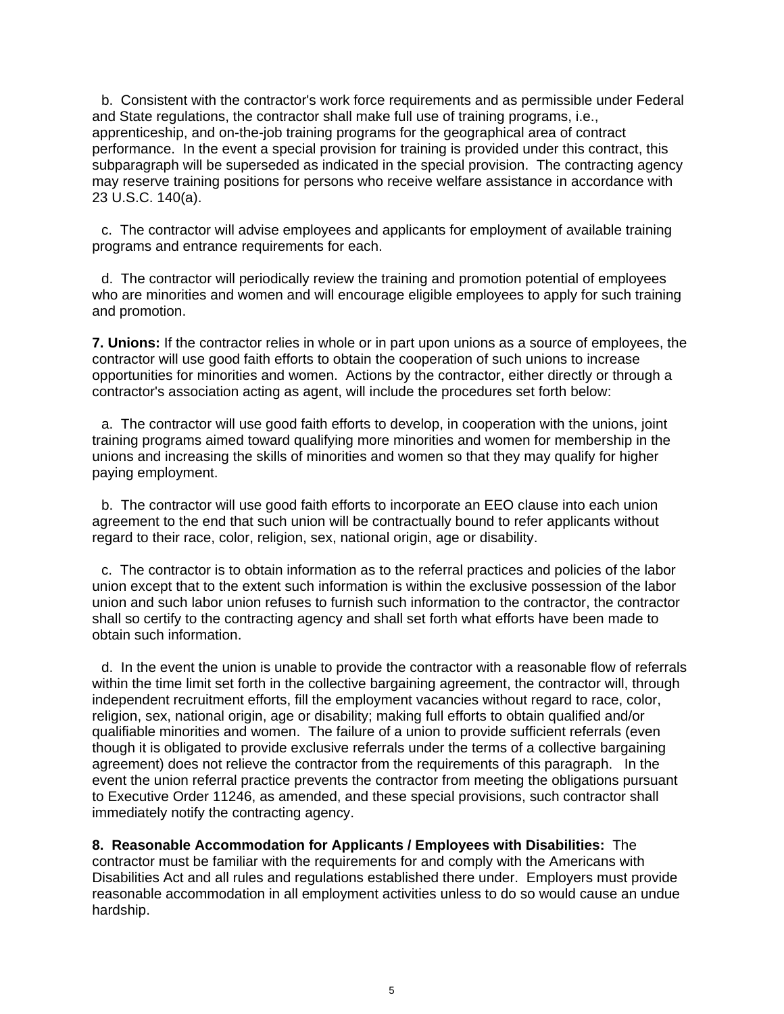b. Consistent with the contractor's work force requirements and as permissible under Federal and State regulations, the contractor shall make full use of training programs, i.e., apprenticeship, and on-the-job training programs for the geographical area of contract performance. In the event a special provision for training is provided under this contract, this subparagraph will be superseded as indicated in the special provision. The contracting agency may reserve training positions for persons who receive welfare assistance in accordance with 23 U.S.C. 140(a).

c. The contractor will advise employees and applicants for employment of available training programs and entrance requirements for each.

d. The contractor will periodically review the training and promotion potential of employees who are minorities and women and will encourage eligible employees to apply for such training and promotion.

**7. Unions:** If the contractor relies in whole or in part upon unions as a source of employees, the contractor will use good faith efforts to obtain the cooperation of such unions to increase opportunities for minorities and women. Actions by the contractor, either directly or through a contractor's association acting as agent, will include the procedures set forth below:

a. The contractor will use good faith efforts to develop, in cooperation with the unions, joint training programs aimed toward qualifying more minorities and women for membership in the unions and increasing the skills of minorities and women so that they may qualify for higher paying employment.

b. The contractor will use good faith efforts to incorporate an EEO clause into each union agreement to the end that such union will be contractually bound to refer applicants without regard to their race, color, religion, sex, national origin, age or disability.

c. The contractor is to obtain information as to the referral practices and policies of the labor union except that to the extent such information is within the exclusive possession of the labor union and such labor union refuses to furnish such information to the contractor, the contractor shall so certify to the contracting agency and shall set forth what efforts have been made to obtain such information.

d. In the event the union is unable to provide the contractor with a reasonable flow of referrals within the time limit set forth in the collective bargaining agreement, the contractor will, through independent recruitment efforts, fill the employment vacancies without regard to race, color, religion, sex, national origin, age or disability; making full efforts to obtain qualified and/or qualifiable minorities and women. The failure of a union to provide sufficient referrals (even though it is obligated to provide exclusive referrals under the terms of a collective bargaining agreement) does not relieve the contractor from the requirements of this paragraph. In the event the union referral practice prevents the contractor from meeting the obligations pursuant to Executive Order 11246, as amended, and these special provisions, such contractor shall immediately notify the contracting agency.

**8. Reasonable Accommodation for Applicants / Employees with Disabilities:** The contractor must be familiar with the requirements for and comply with the Americans with Disabilities Act and all rules and regulations established there under. Employers must provide reasonable accommodation in all employment activities unless to do so would cause an undue hardship.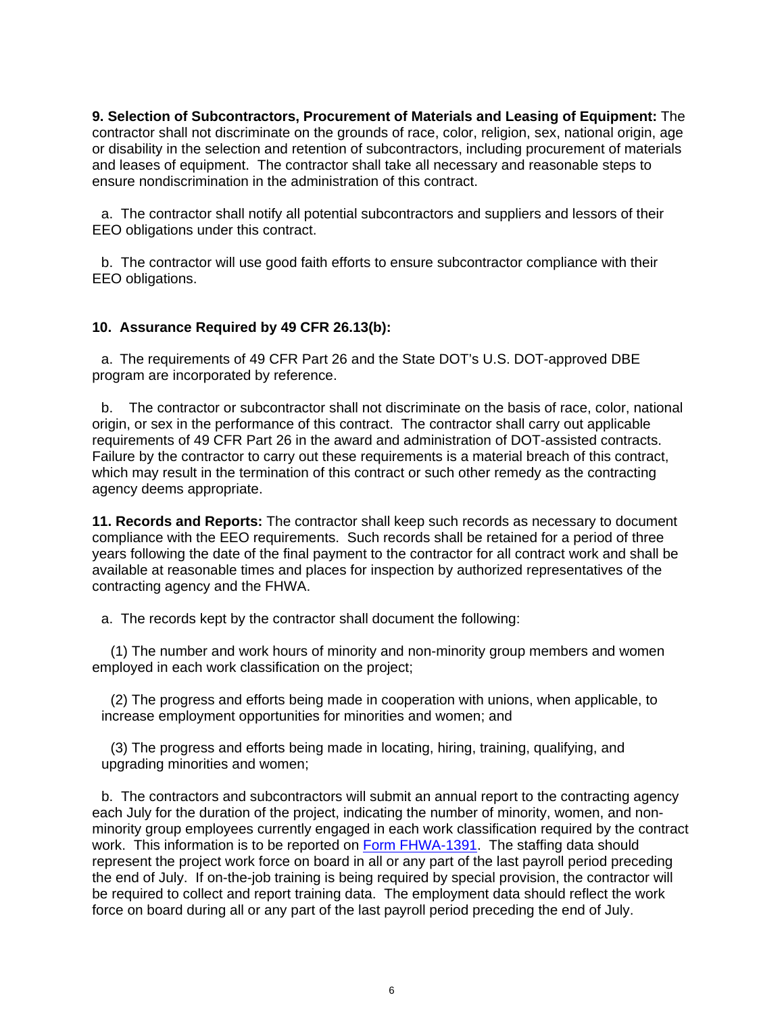**9. Selection of Subcontractors, Procurement of Materials and Leasing of Equipment:** The contractor shall not discriminate on the grounds of race, color, religion, sex, national origin, age or disability in the selection and retention of subcontractors, including procurement of materials and leases of equipment. The contractor shall take all necessary and reasonable steps to ensure nondiscrimination in the administration of this contract.

a. The contractor shall notify all potential subcontractors and suppliers and lessors of their EEO obligations under this contract.

b. The contractor will use good faith efforts to ensure subcontractor compliance with their EEO obligations.

#### **10. Assurance Required by 49 CFR 26.13(b):**

a. The requirements of 49 CFR Part 26 and the State DOT's U.S. DOT-approved DBE program are incorporated by reference.

b. The contractor or subcontractor shall not discriminate on the basis of race, color, national origin, or sex in the performance of this contract. The contractor shall carry out applicable requirements of 49 CFR Part 26 in the award and administration of DOT-assisted contracts. Failure by the contractor to carry out these requirements is a material breach of this contract, which may result in the termination of this contract or such other remedy as the contracting agency deems appropriate.

**11. Records and Reports:** The contractor shall keep such records as necessary to document compliance with the EEO requirements. Such records shall be retained for a period of three years following the date of the final payment to the contractor for all contract work and shall be available at reasonable times and places for inspection by authorized representatives of the contracting agency and the FHWA.

a. The records kept by the contractor shall document the following:

 (1) The number and work hours of minority and non-minority group members and women employed in each work classification on the project;

(2) The progress and efforts being made in cooperation with unions, when applicable, to increase employment opportunities for minorities and women; and

(3) The progress and efforts being made in locating, hiring, training, qualifying, and upgrading minorities and women;

b. The contractors and subcontractors will submit an annual report to the contracting agency each July for the duration of the project, indicating the number of minority, women, and nonminority group employees currently engaged in each work classification required by the contract work. This information is to be reported on Form FHWA-1391. The staffing data should represent the project work force on board in all or any part of the last payroll period preceding the end of July. If on-the-job training is being required by special provision, the contractor will be required to collect and report training data. The employment data should reflect the work force on board during all or any part of the last payroll period preceding the end of July.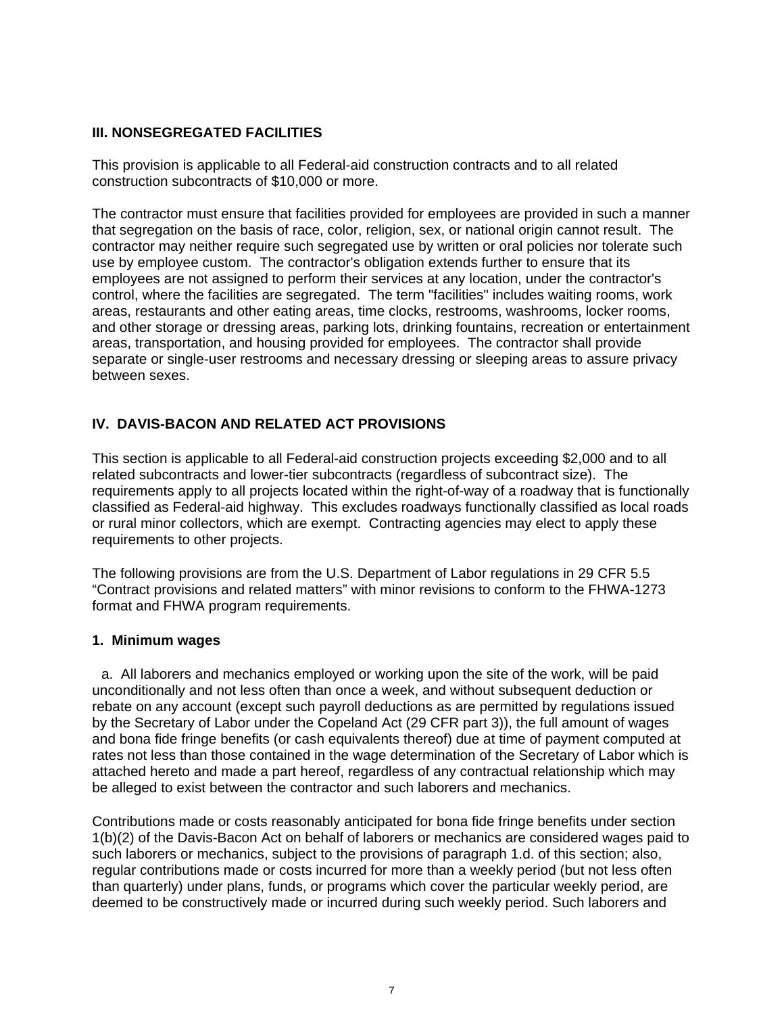## **III. NONSEGREGATED FACILITIES**

This provision is applicable to all Federal-aid construction contracts and to all related construction subcontracts of \$10,000 or more.

The contractor must ensure that facilities provided for employees are provided in such a manner that segregation on the basis of race, color, religion, sex, or national origin cannot result. The contractor may neither require such segregated use by written or oral policies nor tolerate such use by employee custom. The contractor's obligation extends further to ensure that its employees are not assigned to perform their services at any location, under the contractor's control, where the facilities are segregated. The term "facilities" includes waiting rooms, work areas, restaurants and other eating areas, time clocks, restrooms, washrooms, locker rooms, and other storage or dressing areas, parking lots, drinking fountains, recreation or entertainment areas, transportation, and housing provided for employees. The contractor shall provide separate or single-user restrooms and necessary dressing or sleeping areas to assure privacy between sexes.

# **IV. DAVIS-BACON AND RELATED ACT PROVISIONS**

This section is applicable to all Federal-aid construction projects exceeding \$2,000 and to all related subcontracts and lower-tier subcontracts (regardless of subcontract size). The requirements apply to all projects located within the right-of-way of a roadway that is functionally classified as Federal-aid highway. This excludes roadways functionally classified as local roads or rural minor collectors, which are exempt. Contracting agencies may elect to apply these requirements to other projects.

The following provisions are from the U.S. Department of Labor regulations in 29 CFR 5.5 "Contract provisions and related matters" with minor revisions to conform to the FHWA-1273 format and FHWA program requirements.

## **1. Minimum wages**

a. All laborers and mechanics employed or working upon the site of the work, will be paid unconditionally and not less often than once a week, and without subsequent deduction or rebate on any account (except such payroll deductions as are permitted by regulations issued by the Secretary of Labor under the Copeland Act (29 CFR part 3)), the full amount of wages and bona fide fringe benefits (or cash equivalents thereof) due at time of payment computed at rates not less than those contained in the wage determination of the Secretary of Labor which is attached hereto and made a part hereof, regardless of any contractual relationship which may be alleged to exist between the contractor and such laborers and mechanics.

Contributions made or costs reasonably anticipated for bona fide fringe benefits under section 1(b)(2) of the Davis-Bacon Act on behalf of laborers or mechanics are considered wages paid to such laborers or mechanics, subject to the provisions of paragraph 1.d. of this section; also, regular contributions made or costs incurred for more than a weekly period (but not less often than quarterly) under plans, funds, or programs which cover the particular weekly period, are deemed to be constructively made or incurred during such weekly period. Such laborers and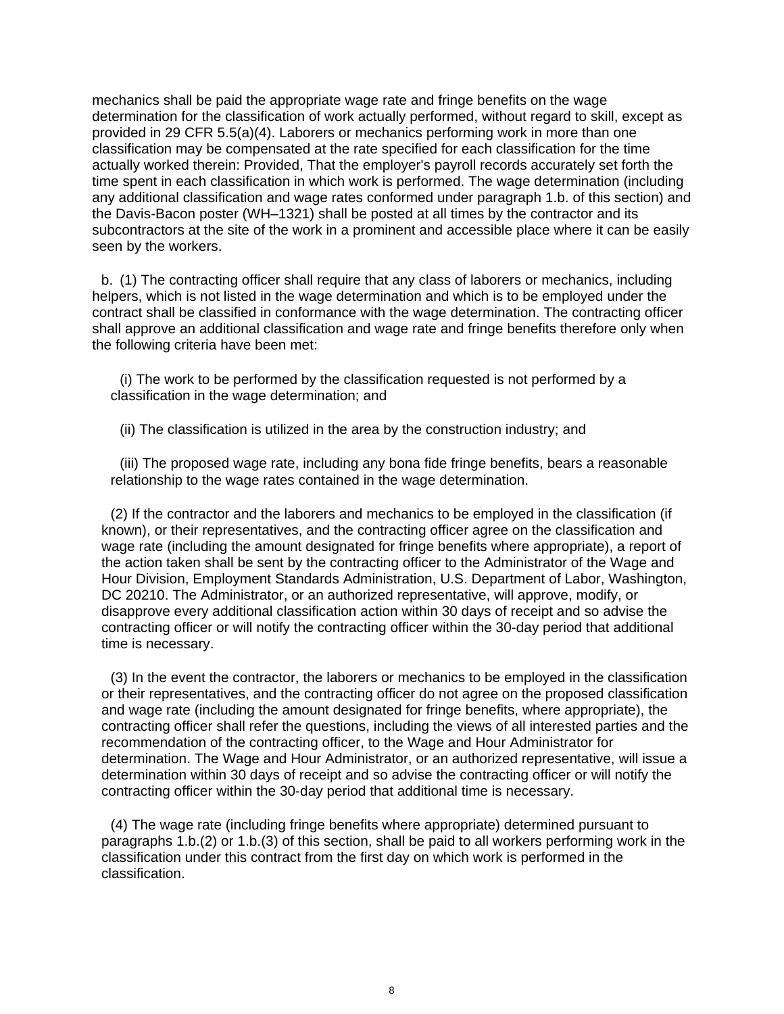mechanics shall be paid the appropriate wage rate and fringe benefits on the wage determination for the classification of work actually performed, without regard to skill, except as provided in 29 CFR 5.5(a)(4). Laborers or mechanics performing work in more than one classification may be compensated at the rate specified for each classification for the time actually worked therein: Provided, That the employer's payroll records accurately set forth the time spent in each classification in which work is performed. The wage determination (including any additional classification and wage rates conformed under paragraph 1.b. of this section) and the Davis-Bacon poster (WH–1321) shall be posted at all times by the contractor and its subcontractors at the site of the work in a prominent and accessible place where it can be easily seen by the workers.

b. (1) The contracting officer shall require that any class of laborers or mechanics, including helpers, which is not listed in the wage determination and which is to be employed under the contract shall be classified in conformance with the wage determination. The contracting officer shall approve an additional classification and wage rate and fringe benefits therefore only when the following criteria have been met:

(i) The work to be performed by the classification requested is not performed by a classification in the wage determination; and

(ii) The classification is utilized in the area by the construction industry; and

(iii) The proposed wage rate, including any bona fide fringe benefits, bears a reasonable relationship to the wage rates contained in the wage determination.

(2) If the contractor and the laborers and mechanics to be employed in the classification (if known), or their representatives, and the contracting officer agree on the classification and wage rate (including the amount designated for fringe benefits where appropriate), a report of the action taken shall be sent by the contracting officer to the Administrator of the Wage and Hour Division, Employment Standards Administration, U.S. Department of Labor, Washington, DC 20210. The Administrator, or an authorized representative, will approve, modify, or disapprove every additional classification action within 30 days of receipt and so advise the contracting officer or will notify the contracting officer within the 30-day period that additional time is necessary.

(3) In the event the contractor, the laborers or mechanics to be employed in the classification or their representatives, and the contracting officer do not agree on the proposed classification and wage rate (including the amount designated for fringe benefits, where appropriate), the contracting officer shall refer the questions, including the views of all interested parties and the recommendation of the contracting officer, to the Wage and Hour Administrator for determination. The Wage and Hour Administrator, or an authorized representative, will issue a determination within 30 days of receipt and so advise the contracting officer or will notify the contracting officer within the 30-day period that additional time is necessary.

(4) The wage rate (including fringe benefits where appropriate) determined pursuant to paragraphs 1.b.(2) or 1.b.(3) of this section, shall be paid to all workers performing work in the classification under this contract from the first day on which work is performed in the classification.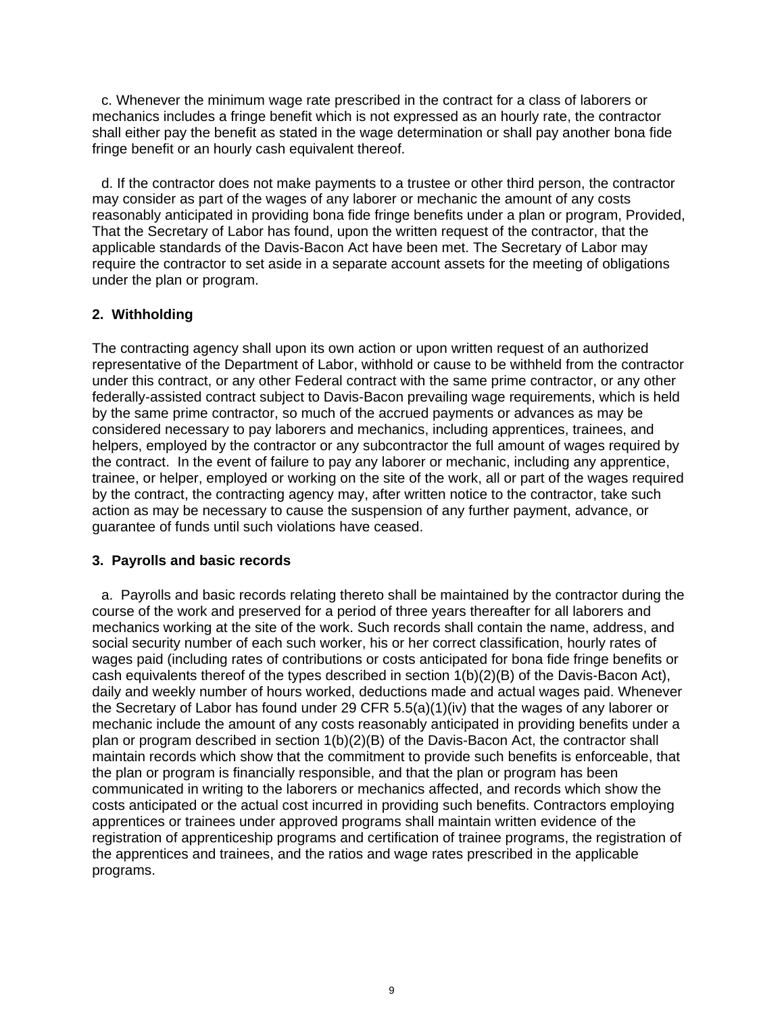c. Whenever the minimum wage rate prescribed in the contract for a class of laborers or mechanics includes a fringe benefit which is not expressed as an hourly rate, the contractor shall either pay the benefit as stated in the wage determination or shall pay another bona fide fringe benefit or an hourly cash equivalent thereof.

d. If the contractor does not make payments to a trustee or other third person, the contractor may consider as part of the wages of any laborer or mechanic the amount of any costs reasonably anticipated in providing bona fide fringe benefits under a plan or program, Provided, That the Secretary of Labor has found, upon the written request of the contractor, that the applicable standards of the Davis-Bacon Act have been met. The Secretary of Labor may require the contractor to set aside in a separate account assets for the meeting of obligations under the plan or program.

## **2. Withholding**

The contracting agency shall upon its own action or upon written request of an authorized representative of the Department of Labor, withhold or cause to be withheld from the contractor under this contract, or any other Federal contract with the same prime contractor, or any other federally-assisted contract subject to Davis-Bacon prevailing wage requirements, which is held by the same prime contractor, so much of the accrued payments or advances as may be considered necessary to pay laborers and mechanics, including apprentices, trainees, and helpers, employed by the contractor or any subcontractor the full amount of wages required by the contract. In the event of failure to pay any laborer or mechanic, including any apprentice, trainee, or helper, employed or working on the site of the work, all or part of the wages required by the contract, the contracting agency may, after written notice to the contractor, take such action as may be necessary to cause the suspension of any further payment, advance, or guarantee of funds until such violations have ceased.

#### **3. Payrolls and basic records**

a. Payrolls and basic records relating thereto shall be maintained by the contractor during the course of the work and preserved for a period of three years thereafter for all laborers and mechanics working at the site of the work. Such records shall contain the name, address, and social security number of each such worker, his or her correct classification, hourly rates of wages paid (including rates of contributions or costs anticipated for bona fide fringe benefits or cash equivalents thereof of the types described in section 1(b)(2)(B) of the Davis-Bacon Act), daily and weekly number of hours worked, deductions made and actual wages paid. Whenever the Secretary of Labor has found under 29 CFR 5.5(a)(1)(iv) that the wages of any laborer or mechanic include the amount of any costs reasonably anticipated in providing benefits under a plan or program described in section 1(b)(2)(B) of the Davis-Bacon Act, the contractor shall maintain records which show that the commitment to provide such benefits is enforceable, that the plan or program is financially responsible, and that the plan or program has been communicated in writing to the laborers or mechanics affected, and records which show the costs anticipated or the actual cost incurred in providing such benefits. Contractors employing apprentices or trainees under approved programs shall maintain written evidence of the registration of apprenticeship programs and certification of trainee programs, the registration of the apprentices and trainees, and the ratios and wage rates prescribed in the applicable programs.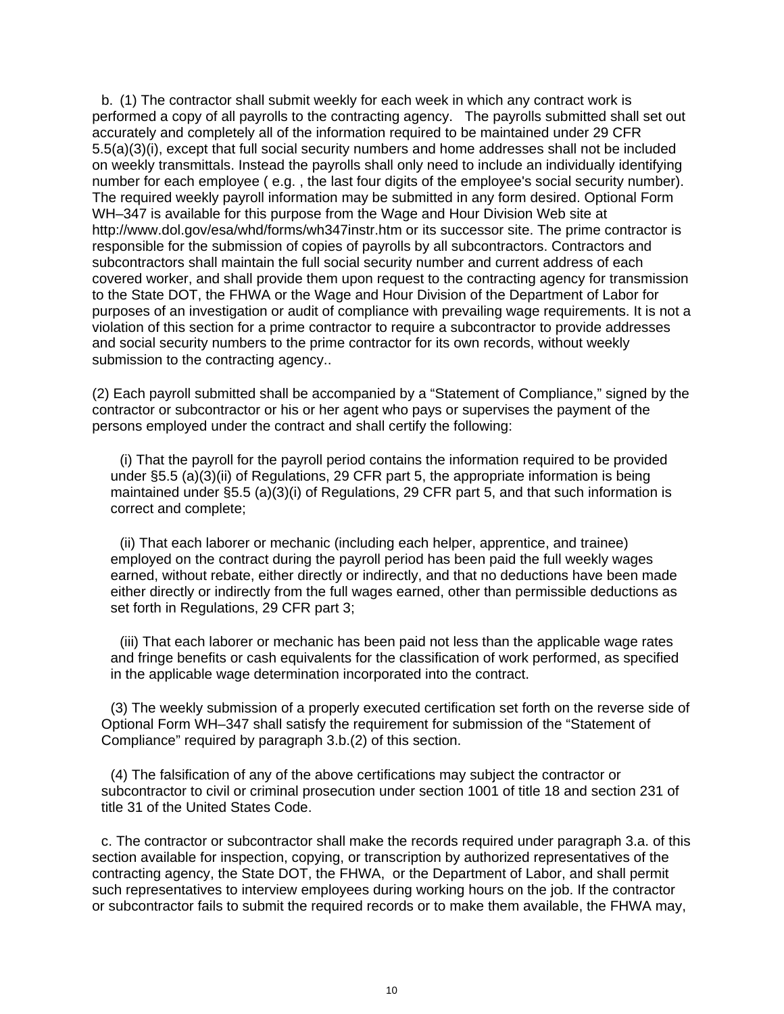b. (1) The contractor shall submit weekly for each week in which any contract work is performed a copy of all payrolls to the contracting agency. The payrolls submitted shall set out accurately and completely all of the information required to be maintained under 29 CFR 5.5(a)(3)(i), except that full social security numbers and home addresses shall not be included on weekly transmittals. Instead the payrolls shall only need to include an individually identifying number for each employee ( e.g. , the last four digits of the employee's social security number). The required weekly payroll information may be submitted in any form desired. Optional Form WH–347 is available for this purpose from the Wage and Hour Division Web site at http://www.dol.gov/esa/whd/forms/wh347instr.htm or its successor site. The prime contractor is responsible for the submission of copies of payrolls by all subcontractors. Contractors and subcontractors shall maintain the full social security number and current address of each covered worker, and shall provide them upon request to the contracting agency for transmission to the State DOT, the FHWA or the Wage and Hour Division of the Department of Labor for purposes of an investigation or audit of compliance with prevailing wage requirements. It is not a violation of this section for a prime contractor to require a subcontractor to provide addresses and social security numbers to the prime contractor for its own records, without weekly submission to the contracting agency..

(2) Each payroll submitted shall be accompanied by a "Statement of Compliance," signed by the contractor or subcontractor or his or her agent who pays or supervises the payment of the persons employed under the contract and shall certify the following:

(i) That the payroll for the payroll period contains the information required to be provided under §5.5 (a)(3)(ii) of Regulations, 29 CFR part 5, the appropriate information is being maintained under §5.5 (a)(3)(i) of Regulations, 29 CFR part 5, and that such information is correct and complete;

(ii) That each laborer or mechanic (including each helper, apprentice, and trainee) employed on the contract during the payroll period has been paid the full weekly wages earned, without rebate, either directly or indirectly, and that no deductions have been made either directly or indirectly from the full wages earned, other than permissible deductions as set forth in Regulations, 29 CFR part 3;

(iii) That each laborer or mechanic has been paid not less than the applicable wage rates and fringe benefits or cash equivalents for the classification of work performed, as specified in the applicable wage determination incorporated into the contract.

(3) The weekly submission of a properly executed certification set forth on the reverse side of Optional Form WH–347 shall satisfy the requirement for submission of the "Statement of Compliance" required by paragraph 3.b.(2) of this section.

(4) The falsification of any of the above certifications may subject the contractor or subcontractor to civil or criminal prosecution under section 1001 of title 18 and section 231 of title 31 of the United States Code.

c. The contractor or subcontractor shall make the records required under paragraph 3.a. of this section available for inspection, copying, or transcription by authorized representatives of the contracting agency, the State DOT, the FHWA, or the Department of Labor, and shall permit such representatives to interview employees during working hours on the job. If the contractor or subcontractor fails to submit the required records or to make them available, the FHWA may,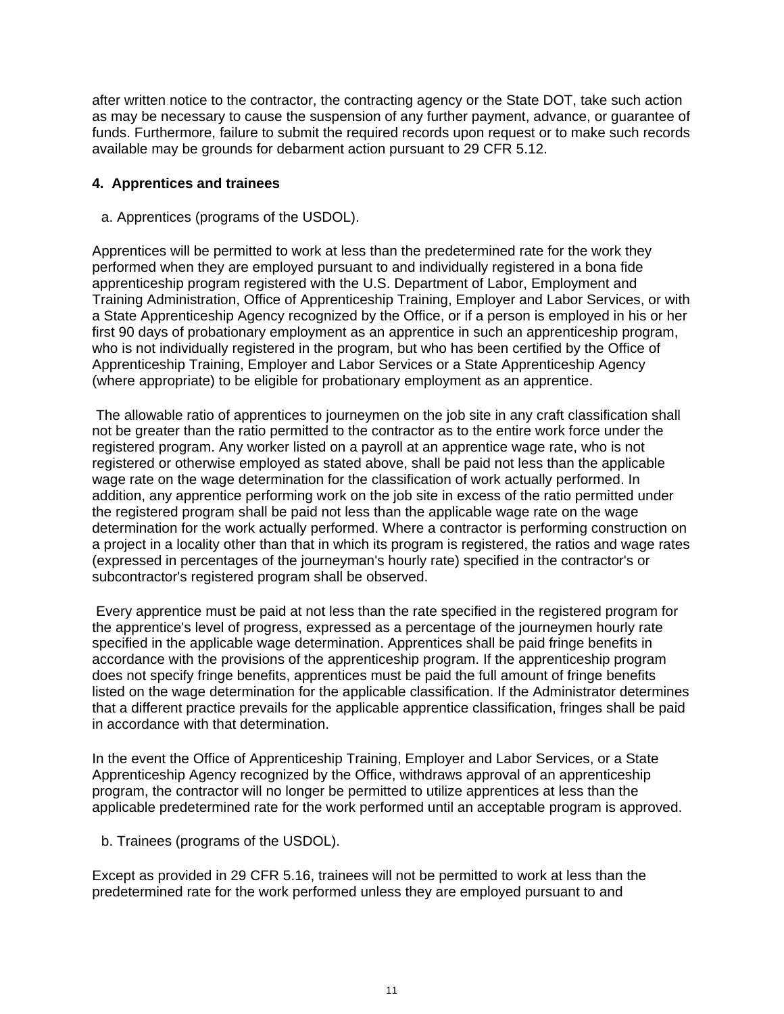after written notice to the contractor, the contracting agency or the State DOT, take such action as may be necessary to cause the suspension of any further payment, advance, or guarantee of funds. Furthermore, failure to submit the required records upon request or to make such records available may be grounds for debarment action pursuant to 29 CFR 5.12.

## **4. Apprentices and trainees**

a. Apprentices (programs of the USDOL).

Apprentices will be permitted to work at less than the predetermined rate for the work they performed when they are employed pursuant to and individually registered in a bona fide apprenticeship program registered with the U.S. Department of Labor, Employment and Training Administration, Office of Apprenticeship Training, Employer and Labor Services, or with a State Apprenticeship Agency recognized by the Office, or if a person is employed in his or her first 90 days of probationary employment as an apprentice in such an apprenticeship program, who is not individually registered in the program, but who has been certified by the Office of Apprenticeship Training, Employer and Labor Services or a State Apprenticeship Agency (where appropriate) to be eligible for probationary employment as an apprentice.

 The allowable ratio of apprentices to journeymen on the job site in any craft classification shall not be greater than the ratio permitted to the contractor as to the entire work force under the registered program. Any worker listed on a payroll at an apprentice wage rate, who is not registered or otherwise employed as stated above, shall be paid not less than the applicable wage rate on the wage determination for the classification of work actually performed. In addition, any apprentice performing work on the job site in excess of the ratio permitted under the registered program shall be paid not less than the applicable wage rate on the wage determination for the work actually performed. Where a contractor is performing construction on a project in a locality other than that in which its program is registered, the ratios and wage rates (expressed in percentages of the journeyman's hourly rate) specified in the contractor's or subcontractor's registered program shall be observed.

 Every apprentice must be paid at not less than the rate specified in the registered program for the apprentice's level of progress, expressed as a percentage of the journeymen hourly rate specified in the applicable wage determination. Apprentices shall be paid fringe benefits in accordance with the provisions of the apprenticeship program. If the apprenticeship program does not specify fringe benefits, apprentices must be paid the full amount of fringe benefits listed on the wage determination for the applicable classification. If the Administrator determines that a different practice prevails for the applicable apprentice classification, fringes shall be paid in accordance with that determination.

In the event the Office of Apprenticeship Training, Employer and Labor Services, or a State Apprenticeship Agency recognized by the Office, withdraws approval of an apprenticeship program, the contractor will no longer be permitted to utilize apprentices at less than the applicable predetermined rate for the work performed until an acceptable program is approved.

b. Trainees (programs of the USDOL).

Except as provided in 29 CFR 5.16, trainees will not be permitted to work at less than the predetermined rate for the work performed unless they are employed pursuant to and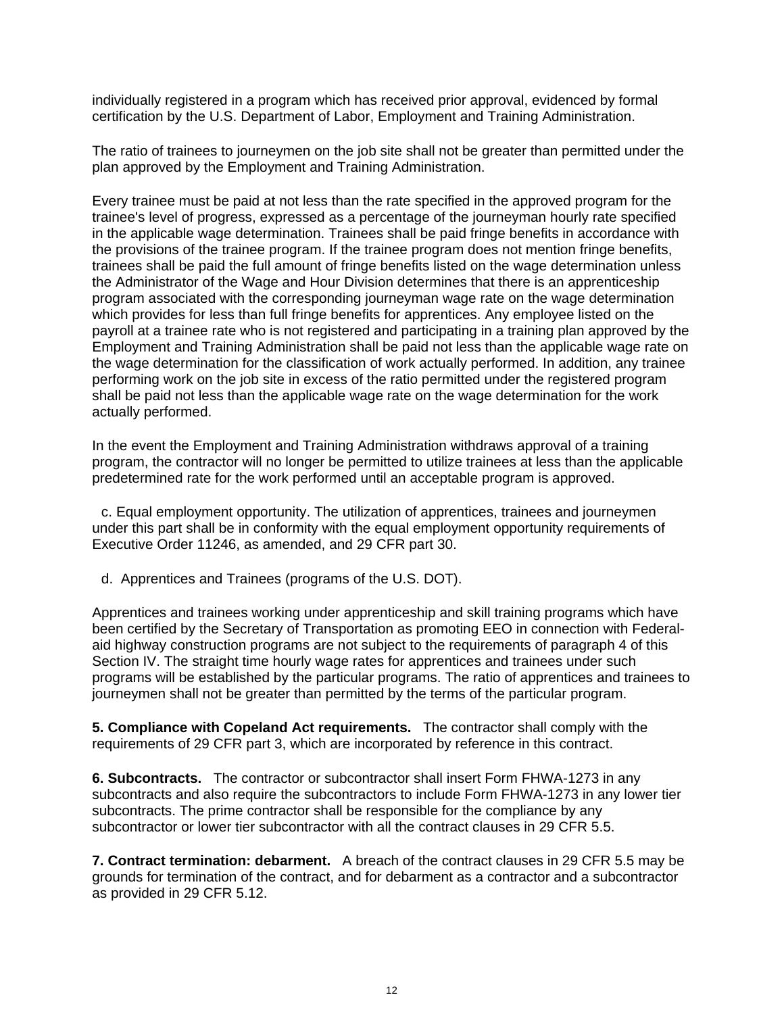individually registered in a program which has received prior approval, evidenced by formal certification by the U.S. Department of Labor, Employment and Training Administration.

The ratio of trainees to journeymen on the job site shall not be greater than permitted under the plan approved by the Employment and Training Administration.

Every trainee must be paid at not less than the rate specified in the approved program for the trainee's level of progress, expressed as a percentage of the journeyman hourly rate specified in the applicable wage determination. Trainees shall be paid fringe benefits in accordance with the provisions of the trainee program. If the trainee program does not mention fringe benefits, trainees shall be paid the full amount of fringe benefits listed on the wage determination unless the Administrator of the Wage and Hour Division determines that there is an apprenticeship program associated with the corresponding journeyman wage rate on the wage determination which provides for less than full fringe benefits for apprentices. Any employee listed on the payroll at a trainee rate who is not registered and participating in a training plan approved by the Employment and Training Administration shall be paid not less than the applicable wage rate on the wage determination for the classification of work actually performed. In addition, any trainee performing work on the job site in excess of the ratio permitted under the registered program shall be paid not less than the applicable wage rate on the wage determination for the work actually performed.

In the event the Employment and Training Administration withdraws approval of a training program, the contractor will no longer be permitted to utilize trainees at less than the applicable predetermined rate for the work performed until an acceptable program is approved.

c. Equal employment opportunity. The utilization of apprentices, trainees and journeymen under this part shall be in conformity with the equal employment opportunity requirements of Executive Order 11246, as amended, and 29 CFR part 30.

d. Apprentices and Trainees (programs of the U.S. DOT).

Apprentices and trainees working under apprenticeship and skill training programs which have been certified by the Secretary of Transportation as promoting EEO in connection with Federalaid highway construction programs are not subject to the requirements of paragraph 4 of this Section IV. The straight time hourly wage rates for apprentices and trainees under such programs will be established by the particular programs. The ratio of apprentices and trainees to journeymen shall not be greater than permitted by the terms of the particular program.

**5. Compliance with Copeland Act requirements.** The contractor shall comply with the requirements of 29 CFR part 3, which are incorporated by reference in this contract.

**6. Subcontracts.** The contractor or subcontractor shall insert Form FHWA-1273 in any subcontracts and also require the subcontractors to include Form FHWA-1273 in any lower tier subcontracts. The prime contractor shall be responsible for the compliance by any subcontractor or lower tier subcontractor with all the contract clauses in 29 CFR 5.5.

**7. Contract termination: debarment.** A breach of the contract clauses in 29 CFR 5.5 may be grounds for termination of the contract, and for debarment as a contractor and a subcontractor as provided in 29 CFR 5.12.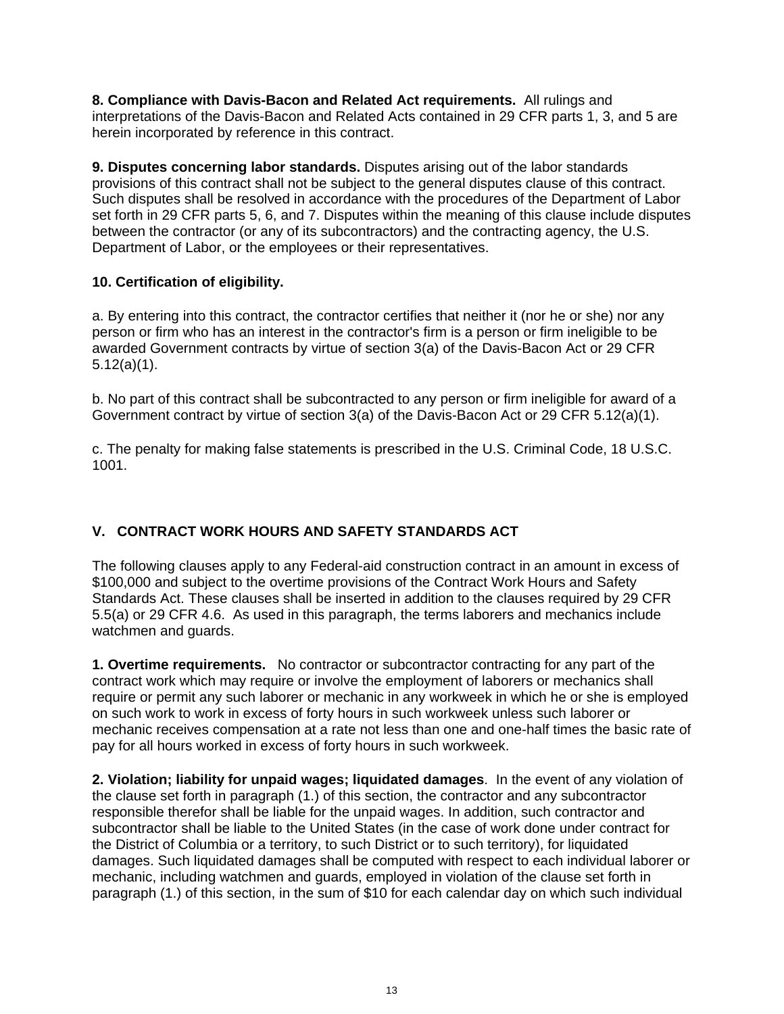**8. Compliance with Davis-Bacon and Related Act requirements.** All rulings and interpretations of the Davis-Bacon and Related Acts contained in 29 CFR parts 1, 3, and 5 are herein incorporated by reference in this contract.

**9. Disputes concerning labor standards.** Disputes arising out of the labor standards provisions of this contract shall not be subject to the general disputes clause of this contract. Such disputes shall be resolved in accordance with the procedures of the Department of Labor set forth in 29 CFR parts 5, 6, and 7. Disputes within the meaning of this clause include disputes between the contractor (or any of its subcontractors) and the contracting agency, the U.S. Department of Labor, or the employees or their representatives.

# **10. Certification of eligibility.**

a. By entering into this contract, the contractor certifies that neither it (nor he or she) nor any person or firm who has an interest in the contractor's firm is a person or firm ineligible to be awarded Government contracts by virtue of section 3(a) of the Davis-Bacon Act or 29 CFR 5.12(a)(1).

b. No part of this contract shall be subcontracted to any person or firm ineligible for award of a Government contract by virtue of section 3(a) of the Davis-Bacon Act or 29 CFR 5.12(a)(1).

c. The penalty for making false statements is prescribed in the U.S. Criminal Code, 18 U.S.C. 1001.

# **V. CONTRACT WORK HOURS AND SAFETY STANDARDS ACT**

The following clauses apply to any Federal-aid construction contract in an amount in excess of \$100,000 and subject to the overtime provisions of the Contract Work Hours and Safety Standards Act. These clauses shall be inserted in addition to the clauses required by 29 CFR 5.5(a) or 29 CFR 4.6. As used in this paragraph, the terms laborers and mechanics include watchmen and guards.

**1. Overtime requirements.** No contractor or subcontractor contracting for any part of the contract work which may require or involve the employment of laborers or mechanics shall require or permit any such laborer or mechanic in any workweek in which he or she is employed on such work to work in excess of forty hours in such workweek unless such laborer or mechanic receives compensation at a rate not less than one and one-half times the basic rate of pay for all hours worked in excess of forty hours in such workweek.

**2. Violation; liability for unpaid wages; liquidated damages**. In the event of any violation of the clause set forth in paragraph (1.) of this section, the contractor and any subcontractor responsible therefor shall be liable for the unpaid wages. In addition, such contractor and subcontractor shall be liable to the United States (in the case of work done under contract for the District of Columbia or a territory, to such District or to such territory), for liquidated damages. Such liquidated damages shall be computed with respect to each individual laborer or mechanic, including watchmen and guards, employed in violation of the clause set forth in paragraph (1.) of this section, in the sum of \$10 for each calendar day on which such individual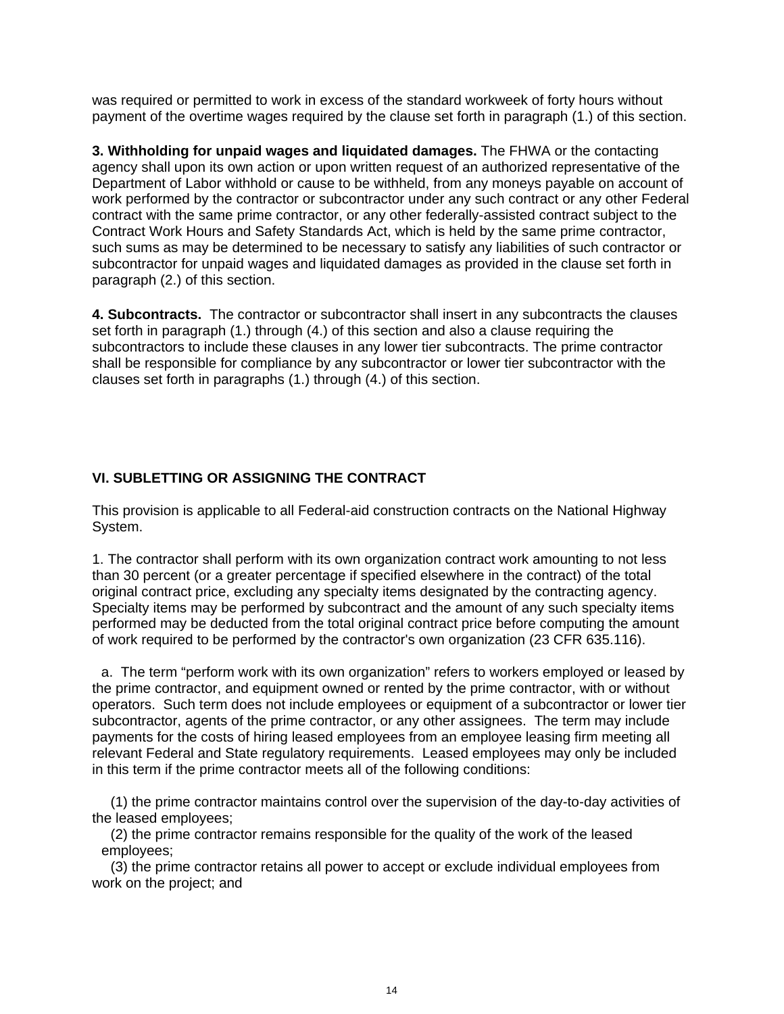was required or permitted to work in excess of the standard workweek of forty hours without payment of the overtime wages required by the clause set forth in paragraph (1.) of this section.

**3. Withholding for unpaid wages and liquidated damages.** The FHWA or the contacting agency shall upon its own action or upon written request of an authorized representative of the Department of Labor withhold or cause to be withheld, from any moneys payable on account of work performed by the contractor or subcontractor under any such contract or any other Federal contract with the same prime contractor, or any other federally-assisted contract subject to the Contract Work Hours and Safety Standards Act, which is held by the same prime contractor, such sums as may be determined to be necessary to satisfy any liabilities of such contractor or subcontractor for unpaid wages and liquidated damages as provided in the clause set forth in paragraph (2.) of this section.

**4. Subcontracts.** The contractor or subcontractor shall insert in any subcontracts the clauses set forth in paragraph (1.) through (4.) of this section and also a clause requiring the subcontractors to include these clauses in any lower tier subcontracts. The prime contractor shall be responsible for compliance by any subcontractor or lower tier subcontractor with the clauses set forth in paragraphs (1.) through (4.) of this section.

# **VI. SUBLETTING OR ASSIGNING THE CONTRACT**

This provision is applicable to all Federal-aid construction contracts on the National Highway System.

1. The contractor shall perform with its own organization contract work amounting to not less than 30 percent (or a greater percentage if specified elsewhere in the contract) of the total original contract price, excluding any specialty items designated by the contracting agency. Specialty items may be performed by subcontract and the amount of any such specialty items performed may be deducted from the total original contract price before computing the amount of work required to be performed by the contractor's own organization (23 CFR 635.116).

a. The term "perform work with its own organization" refers to workers employed or leased by the prime contractor, and equipment owned or rented by the prime contractor, with or without operators. Such term does not include employees or equipment of a subcontractor or lower tier subcontractor, agents of the prime contractor, or any other assignees. The term may include payments for the costs of hiring leased employees from an employee leasing firm meeting all relevant Federal and State regulatory requirements. Leased employees may only be included in this term if the prime contractor meets all of the following conditions:

 (1) the prime contractor maintains control over the supervision of the day-to-day activities of the leased employees;

(2) the prime contractor remains responsible for the quality of the work of the leased employees;

 (3) the prime contractor retains all power to accept or exclude individual employees from work on the project; and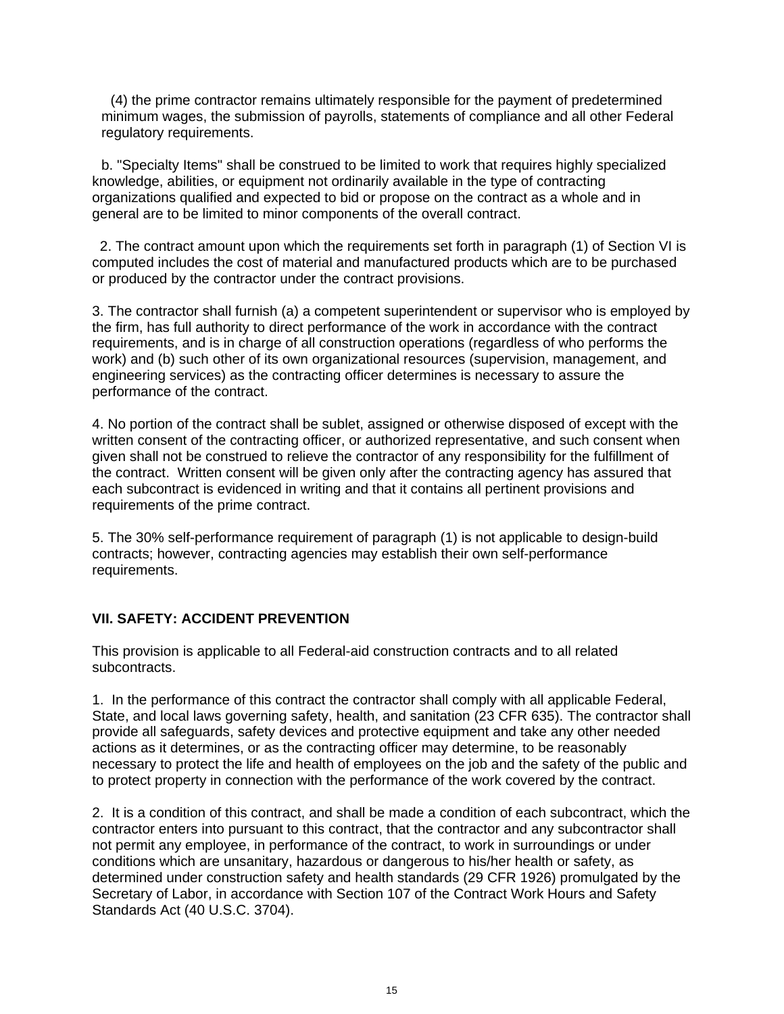(4) the prime contractor remains ultimately responsible for the payment of predetermined minimum wages, the submission of payrolls, statements of compliance and all other Federal regulatory requirements.

b. "Specialty Items" shall be construed to be limited to work that requires highly specialized knowledge, abilities, or equipment not ordinarily available in the type of contracting organizations qualified and expected to bid or propose on the contract as a whole and in general are to be limited to minor components of the overall contract.

 2. The contract amount upon which the requirements set forth in paragraph (1) of Section VI is computed includes the cost of material and manufactured products which are to be purchased or produced by the contractor under the contract provisions.

3. The contractor shall furnish (a) a competent superintendent or supervisor who is employed by the firm, has full authority to direct performance of the work in accordance with the contract requirements, and is in charge of all construction operations (regardless of who performs the work) and (b) such other of its own organizational resources (supervision, management, and engineering services) as the contracting officer determines is necessary to assure the performance of the contract.

4. No portion of the contract shall be sublet, assigned or otherwise disposed of except with the written consent of the contracting officer, or authorized representative, and such consent when given shall not be construed to relieve the contractor of any responsibility for the fulfillment of the contract. Written consent will be given only after the contracting agency has assured that each subcontract is evidenced in writing and that it contains all pertinent provisions and requirements of the prime contract.

5. The 30% self-performance requirement of paragraph (1) is not applicable to design-build contracts; however, contracting agencies may establish their own self-performance requirements.

## **VII. SAFETY: ACCIDENT PREVENTION**

This provision is applicable to all Federal-aid construction contracts and to all related subcontracts.

1. In the performance of this contract the contractor shall comply with all applicable Federal, State, and local laws governing safety, health, and sanitation (23 CFR 635). The contractor shall provide all safeguards, safety devices and protective equipment and take any other needed actions as it determines, or as the contracting officer may determine, to be reasonably necessary to protect the life and health of employees on the job and the safety of the public and to protect property in connection with the performance of the work covered by the contract.

2. It is a condition of this contract, and shall be made a condition of each subcontract, which the contractor enters into pursuant to this contract, that the contractor and any subcontractor shall not permit any employee, in performance of the contract, to work in surroundings or under conditions which are unsanitary, hazardous or dangerous to his/her health or safety, as determined under construction safety and health standards (29 CFR 1926) promulgated by the Secretary of Labor, in accordance with Section 107 of the Contract Work Hours and Safety Standards Act (40 U.S.C. 3704).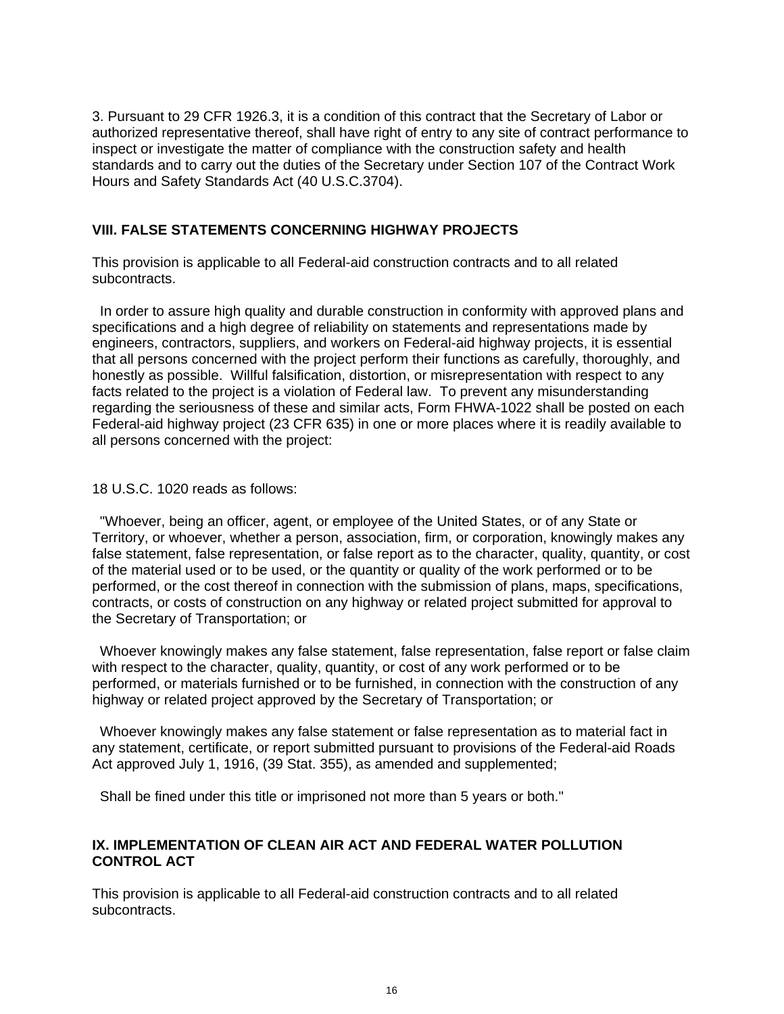3. Pursuant to 29 CFR 1926.3, it is a condition of this contract that the Secretary of Labor or authorized representative thereof, shall have right of entry to any site of contract performance to inspect or investigate the matter of compliance with the construction safety and health standards and to carry out the duties of the Secretary under Section 107 of the Contract Work Hours and Safety Standards Act (40 U.S.C.3704).

## **VIII. FALSE STATEMENTS CONCERNING HIGHWAY PROJECTS**

This provision is applicable to all Federal-aid construction contracts and to all related subcontracts.

 In order to assure high quality and durable construction in conformity with approved plans and specifications and a high degree of reliability on statements and representations made by engineers, contractors, suppliers, and workers on Federal-aid highway projects, it is essential that all persons concerned with the project perform their functions as carefully, thoroughly, and honestly as possible. Willful falsification, distortion, or misrepresentation with respect to any facts related to the project is a violation of Federal law. To prevent any misunderstanding regarding the seriousness of these and similar acts, Form FHWA-1022 shall be posted on each Federal-aid highway project (23 CFR 635) in one or more places where it is readily available to all persons concerned with the project:

#### 18 U.S.C. 1020 reads as follows:

 "Whoever, being an officer, agent, or employee of the United States, or of any State or Territory, or whoever, whether a person, association, firm, or corporation, knowingly makes any false statement, false representation, or false report as to the character, quality, quantity, or cost of the material used or to be used, or the quantity or quality of the work performed or to be performed, or the cost thereof in connection with the submission of plans, maps, specifications, contracts, or costs of construction on any highway or related project submitted for approval to the Secretary of Transportation; or

 Whoever knowingly makes any false statement, false representation, false report or false claim with respect to the character, quality, quantity, or cost of any work performed or to be performed, or materials furnished or to be furnished, in connection with the construction of any highway or related project approved by the Secretary of Transportation; or

 Whoever knowingly makes any false statement or false representation as to material fact in any statement, certificate, or report submitted pursuant to provisions of the Federal-aid Roads Act approved July 1, 1916, (39 Stat. 355), as amended and supplemented;

Shall be fined under this title or imprisoned not more than 5 years or both."

## **IX. IMPLEMENTATION OF CLEAN AIR ACT AND FEDERAL WATER POLLUTION CONTROL ACT**

This provision is applicable to all Federal-aid construction contracts and to all related subcontracts.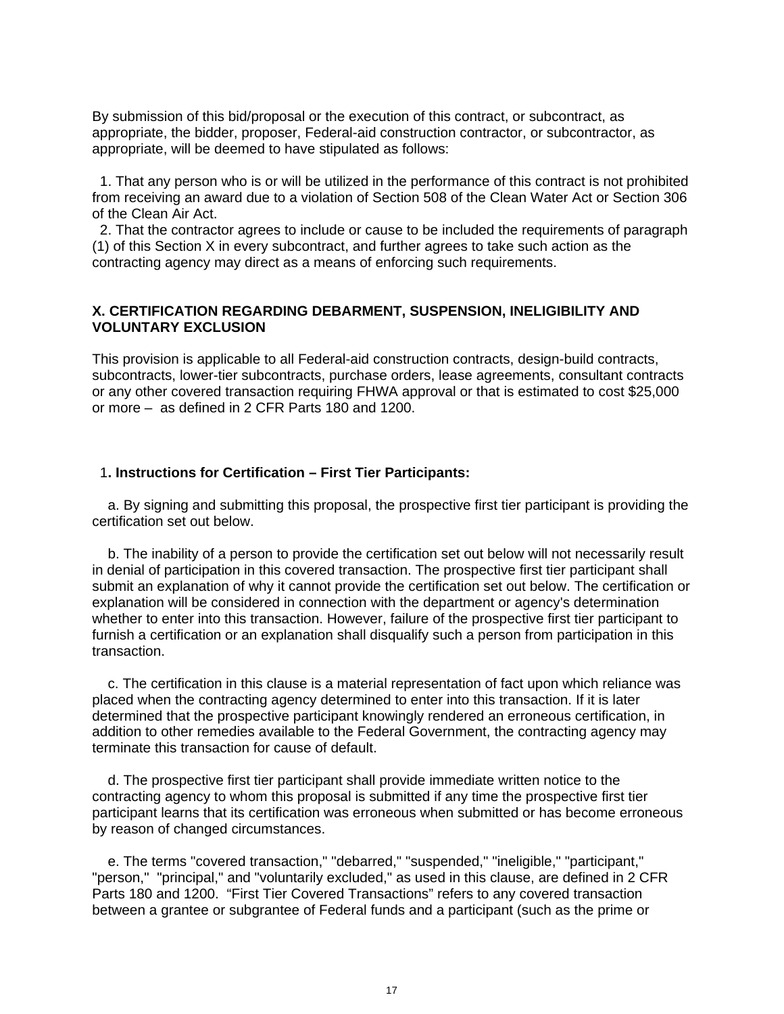By submission of this bid/proposal or the execution of this contract, or subcontract, as appropriate, the bidder, proposer, Federal-aid construction contractor, or subcontractor, as appropriate, will be deemed to have stipulated as follows:

 1. That any person who is or will be utilized in the performance of this contract is not prohibited from receiving an award due to a violation of Section 508 of the Clean Water Act or Section 306 of the Clean Air Act.

 2. That the contractor agrees to include or cause to be included the requirements of paragraph (1) of this Section X in every subcontract, and further agrees to take such action as the contracting agency may direct as a means of enforcing such requirements.

#### **X. CERTIFICATION REGARDING DEBARMENT, SUSPENSION, INELIGIBILITY AND VOLUNTARY EXCLUSION**

This provision is applicable to all Federal-aid construction contracts, design-build contracts, subcontracts, lower-tier subcontracts, purchase orders, lease agreements, consultant contracts or any other covered transaction requiring FHWA approval or that is estimated to cost \$25,000 or more – as defined in 2 CFR Parts 180 and 1200.

#### 1**. Instructions for Certification – First Tier Participants:**

 a. By signing and submitting this proposal, the prospective first tier participant is providing the certification set out below.

 b. The inability of a person to provide the certification set out below will not necessarily result in denial of participation in this covered transaction. The prospective first tier participant shall submit an explanation of why it cannot provide the certification set out below. The certification or explanation will be considered in connection with the department or agency's determination whether to enter into this transaction. However, failure of the prospective first tier participant to furnish a certification or an explanation shall disqualify such a person from participation in this transaction.

 c. The certification in this clause is a material representation of fact upon which reliance was placed when the contracting agency determined to enter into this transaction. If it is later determined that the prospective participant knowingly rendered an erroneous certification, in addition to other remedies available to the Federal Government, the contracting agency may terminate this transaction for cause of default.

 d. The prospective first tier participant shall provide immediate written notice to the contracting agency to whom this proposal is submitted if any time the prospective first tier participant learns that its certification was erroneous when submitted or has become erroneous by reason of changed circumstances.

 e. The terms "covered transaction," "debarred," "suspended," "ineligible," "participant," "person," "principal," and "voluntarily excluded," as used in this clause, are defined in 2 CFR Parts 180 and 1200. "First Tier Covered Transactions" refers to any covered transaction between a grantee or subgrantee of Federal funds and a participant (such as the prime or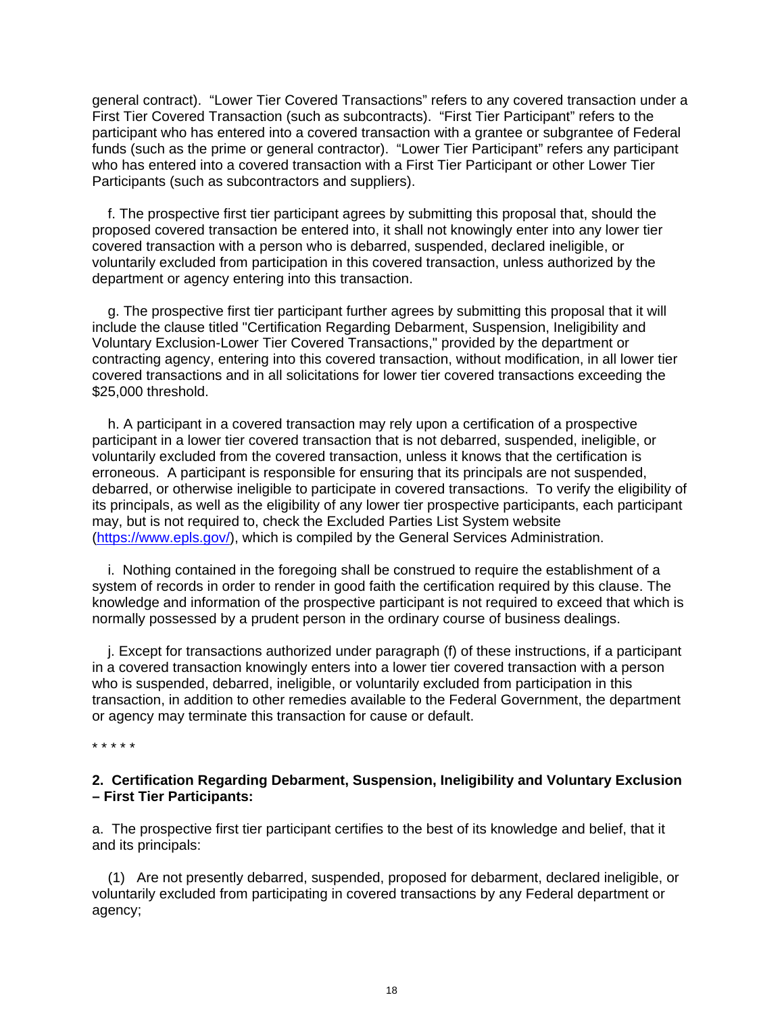general contract). "Lower Tier Covered Transactions" refers to any covered transaction under a First Tier Covered Transaction (such as subcontracts). "First Tier Participant" refers to the participant who has entered into a covered transaction with a grantee or subgrantee of Federal funds (such as the prime or general contractor). "Lower Tier Participant" refers any participant who has entered into a covered transaction with a First Tier Participant or other Lower Tier Participants (such as subcontractors and suppliers).

 f. The prospective first tier participant agrees by submitting this proposal that, should the proposed covered transaction be entered into, it shall not knowingly enter into any lower tier covered transaction with a person who is debarred, suspended, declared ineligible, or voluntarily excluded from participation in this covered transaction, unless authorized by the department or agency entering into this transaction.

 g. The prospective first tier participant further agrees by submitting this proposal that it will include the clause titled "Certification Regarding Debarment, Suspension, Ineligibility and Voluntary Exclusion-Lower Tier Covered Transactions," provided by the department or contracting agency, entering into this covered transaction, without modification, in all lower tier covered transactions and in all solicitations for lower tier covered transactions exceeding the \$25,000 threshold.

 h. A participant in a covered transaction may rely upon a certification of a prospective participant in a lower tier covered transaction that is not debarred, suspended, ineligible, or voluntarily excluded from the covered transaction, unless it knows that the certification is erroneous. A participant is responsible for ensuring that its principals are not suspended, debarred, or otherwise ineligible to participate in covered transactions. To verify the eligibility of its principals, as well as the eligibility of any lower tier prospective participants, each participant may, but is not required to, check the Excluded Parties List System website (https://www.epls.gov/), which is compiled by the General Services Administration.

 i. Nothing contained in the foregoing shall be construed to require the establishment of a system of records in order to render in good faith the certification required by this clause. The knowledge and information of the prospective participant is not required to exceed that which is normally possessed by a prudent person in the ordinary course of business dealings.

 j. Except for transactions authorized under paragraph (f) of these instructions, if a participant in a covered transaction knowingly enters into a lower tier covered transaction with a person who is suspended, debarred, ineligible, or voluntarily excluded from participation in this transaction, in addition to other remedies available to the Federal Government, the department or agency may terminate this transaction for cause or default.

\* \* \* \* \*

## **2. Certification Regarding Debarment, Suspension, Ineligibility and Voluntary Exclusion – First Tier Participants:**

a. The prospective first tier participant certifies to the best of its knowledge and belief, that it and its principals:

 (1) Are not presently debarred, suspended, proposed for debarment, declared ineligible, or voluntarily excluded from participating in covered transactions by any Federal department or agency;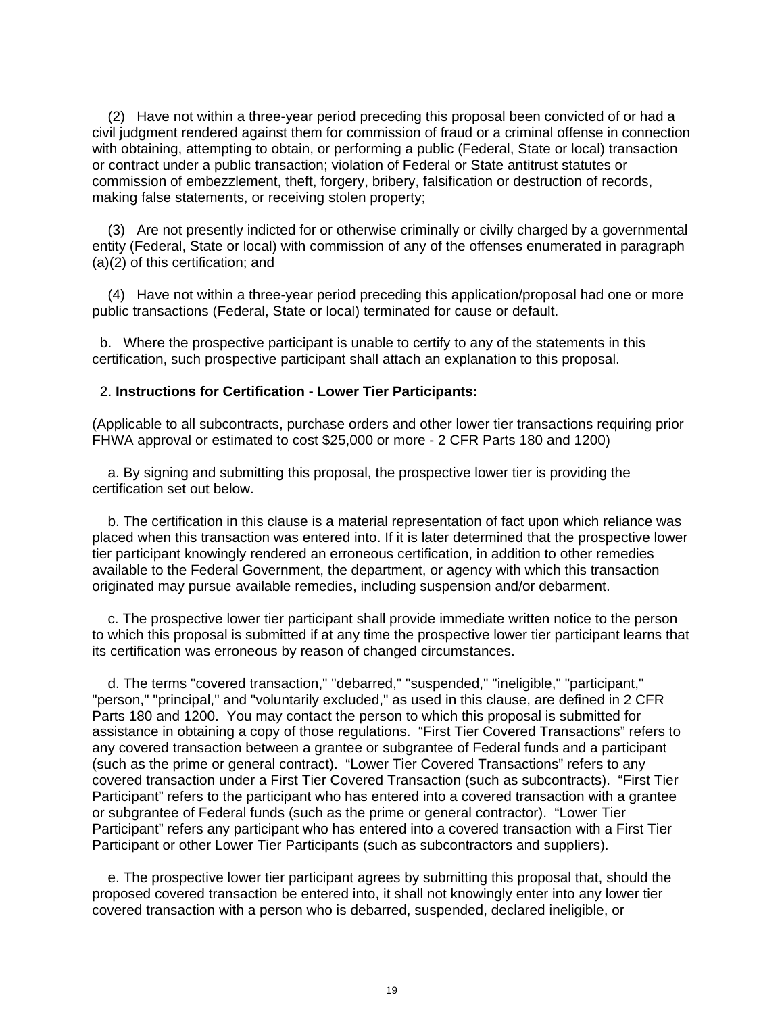(2) Have not within a three-year period preceding this proposal been convicted of or had a civil judgment rendered against them for commission of fraud or a criminal offense in connection with obtaining, attempting to obtain, or performing a public (Federal, State or local) transaction or contract under a public transaction; violation of Federal or State antitrust statutes or commission of embezzlement, theft, forgery, bribery, falsification or destruction of records, making false statements, or receiving stolen property;

 (3) Are not presently indicted for or otherwise criminally or civilly charged by a governmental entity (Federal, State or local) with commission of any of the offenses enumerated in paragraph (a)(2) of this certification; and

 (4) Have not within a three-year period preceding this application/proposal had one or more public transactions (Federal, State or local) terminated for cause or default.

 b. Where the prospective participant is unable to certify to any of the statements in this certification, such prospective participant shall attach an explanation to this proposal.

#### 2. **Instructions for Certification - Lower Tier Participants:**

(Applicable to all subcontracts, purchase orders and other lower tier transactions requiring prior FHWA approval or estimated to cost \$25,000 or more - 2 CFR Parts 180 and 1200)

 a. By signing and submitting this proposal, the prospective lower tier is providing the certification set out below.

 b. The certification in this clause is a material representation of fact upon which reliance was placed when this transaction was entered into. If it is later determined that the prospective lower tier participant knowingly rendered an erroneous certification, in addition to other remedies available to the Federal Government, the department, or agency with which this transaction originated may pursue available remedies, including suspension and/or debarment.

 c. The prospective lower tier participant shall provide immediate written notice to the person to which this proposal is submitted if at any time the prospective lower tier participant learns that its certification was erroneous by reason of changed circumstances.

 d. The terms "covered transaction," "debarred," "suspended," "ineligible," "participant," "person," "principal," and "voluntarily excluded," as used in this clause, are defined in 2 CFR Parts 180 and 1200. You may contact the person to which this proposal is submitted for assistance in obtaining a copy of those regulations. "First Tier Covered Transactions" refers to any covered transaction between a grantee or subgrantee of Federal funds and a participant (such as the prime or general contract). "Lower Tier Covered Transactions" refers to any covered transaction under a First Tier Covered Transaction (such as subcontracts). "First Tier Participant" refers to the participant who has entered into a covered transaction with a grantee or subgrantee of Federal funds (such as the prime or general contractor). "Lower Tier Participant" refers any participant who has entered into a covered transaction with a First Tier Participant or other Lower Tier Participants (such as subcontractors and suppliers).

 e. The prospective lower tier participant agrees by submitting this proposal that, should the proposed covered transaction be entered into, it shall not knowingly enter into any lower tier covered transaction with a person who is debarred, suspended, declared ineligible, or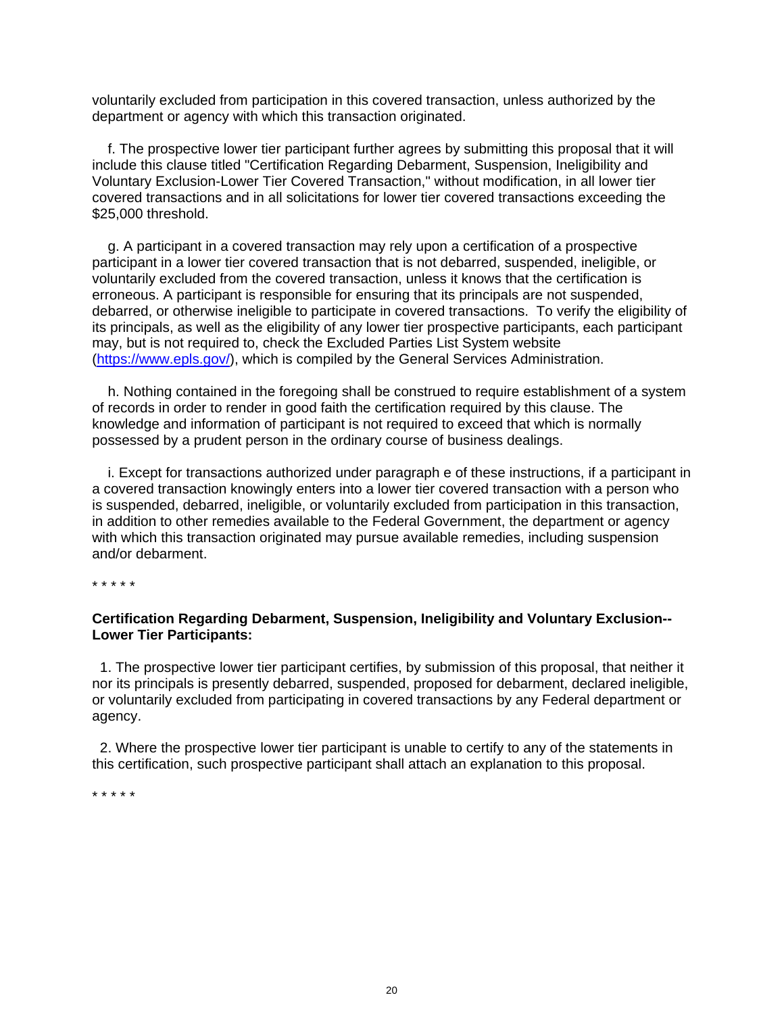voluntarily excluded from participation in this covered transaction, unless authorized by the department or agency with which this transaction originated.

 f. The prospective lower tier participant further agrees by submitting this proposal that it will include this clause titled "Certification Regarding Debarment, Suspension, Ineligibility and Voluntary Exclusion-Lower Tier Covered Transaction," without modification, in all lower tier covered transactions and in all solicitations for lower tier covered transactions exceeding the \$25,000 threshold.

 g. A participant in a covered transaction may rely upon a certification of a prospective participant in a lower tier covered transaction that is not debarred, suspended, ineligible, or voluntarily excluded from the covered transaction, unless it knows that the certification is erroneous. A participant is responsible for ensuring that its principals are not suspended, debarred, or otherwise ineligible to participate in covered transactions. To verify the eligibility of its principals, as well as the eligibility of any lower tier prospective participants, each participant may, but is not required to, check the Excluded Parties List System website (https://www.epls.gov/), which is compiled by the General Services Administration.

 h. Nothing contained in the foregoing shall be construed to require establishment of a system of records in order to render in good faith the certification required by this clause. The knowledge and information of participant is not required to exceed that which is normally possessed by a prudent person in the ordinary course of business dealings.

 i. Except for transactions authorized under paragraph e of these instructions, if a participant in a covered transaction knowingly enters into a lower tier covered transaction with a person who is suspended, debarred, ineligible, or voluntarily excluded from participation in this transaction, in addition to other remedies available to the Federal Government, the department or agency with which this transaction originated may pursue available remedies, including suspension and/or debarment.

\* \* \* \* \*

#### **Certification Regarding Debarment, Suspension, Ineligibility and Voluntary Exclusion-- Lower Tier Participants:**

 1. The prospective lower tier participant certifies, by submission of this proposal, that neither it nor its principals is presently debarred, suspended, proposed for debarment, declared ineligible, or voluntarily excluded from participating in covered transactions by any Federal department or agency.

 2. Where the prospective lower tier participant is unable to certify to any of the statements in this certification, such prospective participant shall attach an explanation to this proposal.

\* \* \* \* \*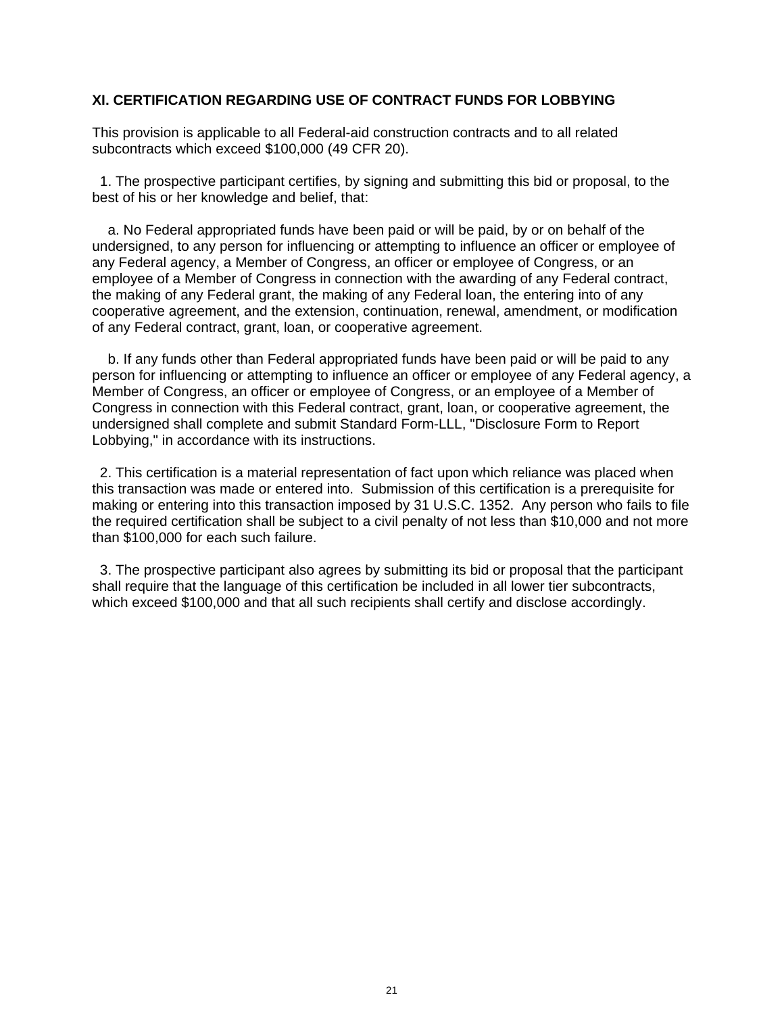### **XI. CERTIFICATION REGARDING USE OF CONTRACT FUNDS FOR LOBBYING**

This provision is applicable to all Federal-aid construction contracts and to all related subcontracts which exceed \$100,000 (49 CFR 20).

 1. The prospective participant certifies, by signing and submitting this bid or proposal, to the best of his or her knowledge and belief, that:

 a. No Federal appropriated funds have been paid or will be paid, by or on behalf of the undersigned, to any person for influencing or attempting to influence an officer or employee of any Federal agency, a Member of Congress, an officer or employee of Congress, or an employee of a Member of Congress in connection with the awarding of any Federal contract, the making of any Federal grant, the making of any Federal loan, the entering into of any cooperative agreement, and the extension, continuation, renewal, amendment, or modification of any Federal contract, grant, loan, or cooperative agreement.

 b. If any funds other than Federal appropriated funds have been paid or will be paid to any person for influencing or attempting to influence an officer or employee of any Federal agency, a Member of Congress, an officer or employee of Congress, or an employee of a Member of Congress in connection with this Federal contract, grant, loan, or cooperative agreement, the undersigned shall complete and submit Standard Form-LLL, "Disclosure Form to Report Lobbying," in accordance with its instructions.

 2. This certification is a material representation of fact upon which reliance was placed when this transaction was made or entered into. Submission of this certification is a prerequisite for making or entering into this transaction imposed by 31 U.S.C. 1352. Any person who fails to file the required certification shall be subject to a civil penalty of not less than \$10,000 and not more than \$100,000 for each such failure.

 3. The prospective participant also agrees by submitting its bid or proposal that the participant shall require that the language of this certification be included in all lower tier subcontracts, which exceed \$100,000 and that all such recipients shall certify and disclose accordingly.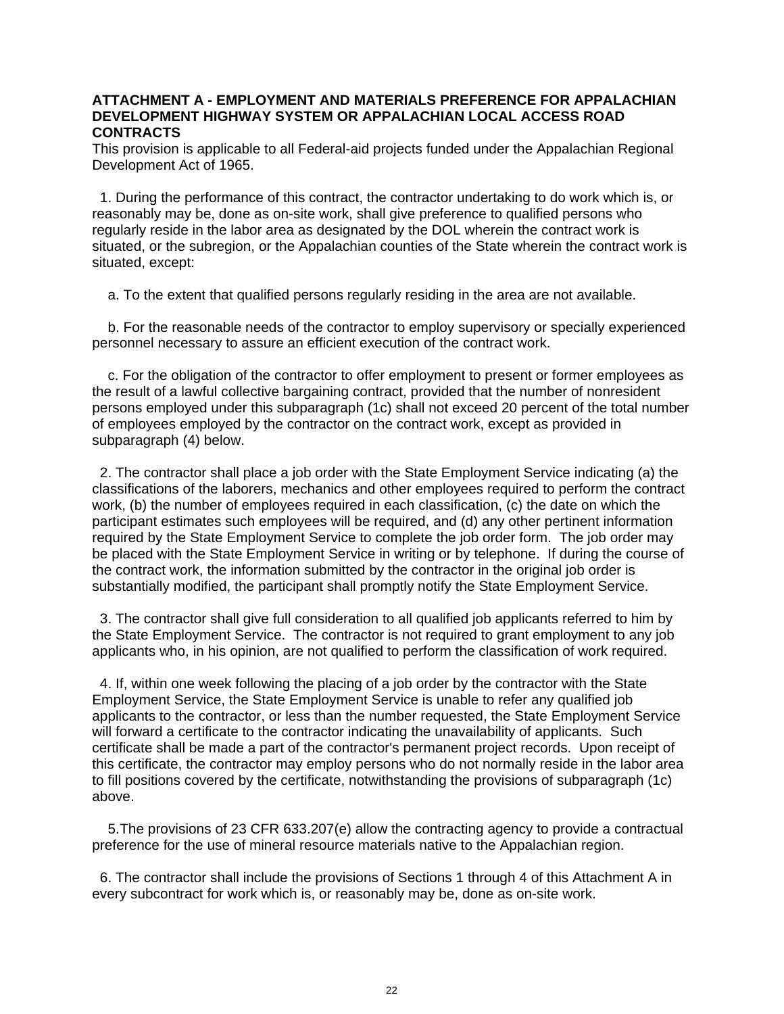### **ATTACHMENT A - EMPLOYMENT AND MATERIALS PREFERENCE FOR APPALACHIAN DEVELOPMENT HIGHWAY SYSTEM OR APPALACHIAN LOCAL ACCESS ROAD CONTRACTS**

This provision is applicable to all Federal-aid projects funded under the Appalachian Regional Development Act of 1965.

 1. During the performance of this contract, the contractor undertaking to do work which is, or reasonably may be, done as on-site work, shall give preference to qualified persons who regularly reside in the labor area as designated by the DOL wherein the contract work is situated, or the subregion, or the Appalachian counties of the State wherein the contract work is situated, except:

a. To the extent that qualified persons regularly residing in the area are not available.

 b. For the reasonable needs of the contractor to employ supervisory or specially experienced personnel necessary to assure an efficient execution of the contract work.

 c. For the obligation of the contractor to offer employment to present or former employees as the result of a lawful collective bargaining contract, provided that the number of nonresident persons employed under this subparagraph (1c) shall not exceed 20 percent of the total number of employees employed by the contractor on the contract work, except as provided in subparagraph (4) below.

 2. The contractor shall place a job order with the State Employment Service indicating (a) the classifications of the laborers, mechanics and other employees required to perform the contract work, (b) the number of employees required in each classification, (c) the date on which the participant estimates such employees will be required, and (d) any other pertinent information required by the State Employment Service to complete the job order form. The job order may be placed with the State Employment Service in writing or by telephone. If during the course of the contract work, the information submitted by the contractor in the original job order is substantially modified, the participant shall promptly notify the State Employment Service.

 3. The contractor shall give full consideration to all qualified job applicants referred to him by the State Employment Service. The contractor is not required to grant employment to any job applicants who, in his opinion, are not qualified to perform the classification of work required.

 4. If, within one week following the placing of a job order by the contractor with the State Employment Service, the State Employment Service is unable to refer any qualified job applicants to the contractor, or less than the number requested, the State Employment Service will forward a certificate to the contractor indicating the unavailability of applicants. Such certificate shall be made a part of the contractor's permanent project records. Upon receipt of this certificate, the contractor may employ persons who do not normally reside in the labor area to fill positions covered by the certificate, notwithstanding the provisions of subparagraph (1c) above.

 5. The provisions of 23 CFR 633.207(e) allow the contracting agency to provide a contractual preference for the use of mineral resource materials native to the Appalachian region.

 6. The contractor shall include the provisions of Sections 1 through 4 of this Attachment A in every subcontract for work which is, or reasonably may be, done as on-site work.